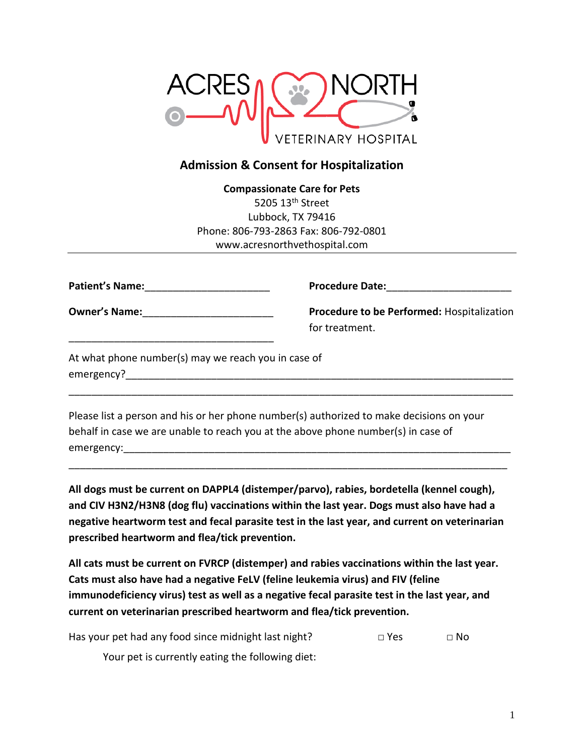

## **Admission & Consent for Hospitalization**

**Compassionate Care for Pets** 5205 13<sup>th</sup> Street Lubbock, TX 79416 Phone: 806-793-2863 Fax: 806-792-0801 www.acresnorthvethospital.com

| <b>Patient's Name:</b> |  |
|------------------------|--|
|                        |  |

**Procedure Date:**\_\_\_\_\_\_\_\_\_\_\_\_\_\_\_\_\_\_\_\_\_\_

**Owner's Name:**\_\_\_\_\_\_\_\_\_\_\_\_\_\_\_\_\_\_\_\_\_\_\_

\_\_\_\_\_\_\_\_\_\_\_\_\_\_\_\_\_\_\_\_\_\_\_\_\_\_\_\_\_\_\_\_\_\_\_\_

**Procedure to be Performed:** Hospitalization for treatment.

At what phone number(s) may we reach you in case of emergency?\_\_\_\_\_\_\_\_\_\_\_\_\_\_\_\_\_\_\_\_\_\_\_\_\_\_\_\_\_\_\_\_\_\_\_\_\_\_\_\_\_\_\_\_\_\_\_\_\_\_\_\_\_\_\_\_\_\_\_\_\_\_\_\_\_\_\_\_

Please list a person and his or her phone number(s) authorized to make decisions on your behalf in case we are unable to reach you at the above phone number(s) in case of emergency:

\_\_\_\_\_\_\_\_\_\_\_\_\_\_\_\_\_\_\_\_\_\_\_\_\_\_\_\_\_\_\_\_\_\_\_\_\_\_\_\_\_\_\_\_\_\_\_\_\_\_\_\_\_\_\_\_\_\_\_\_\_\_\_\_\_\_\_\_\_\_\_\_\_\_\_\_\_\_

**All dogs must be current on DAPPL4 (distemper/parvo), rabies, bordetella (kennel cough), and CIV H3N2/H3N8 (dog flu) vaccinations within the last year. Dogs must also have had a negative heartworm test and fecal parasite test in the last year, and current on veterinarian prescribed heartworm and flea/tick prevention.**

\_\_\_\_\_\_\_\_\_\_\_\_\_\_\_\_\_\_\_\_\_\_\_\_\_\_\_\_\_\_\_\_\_\_\_\_\_\_\_\_\_\_\_\_\_\_\_\_\_\_\_\_\_\_\_\_\_\_\_\_\_\_\_\_\_\_\_\_\_\_\_\_\_\_\_\_\_

**All cats must be current on FVRCP (distemper) and rabies vaccinations within the last year. Cats must also have had a negative FeLV (feline leukemia virus) and FIV (feline immunodeficiency virus) test as well as a negative fecal parasite test in the last year, and current on veterinarian prescribed heartworm and flea/tick prevention.**

Has your pet had any food since midnight last night?  $\Box$  Yes  $\Box$  No

Your pet is currently eating the following diet: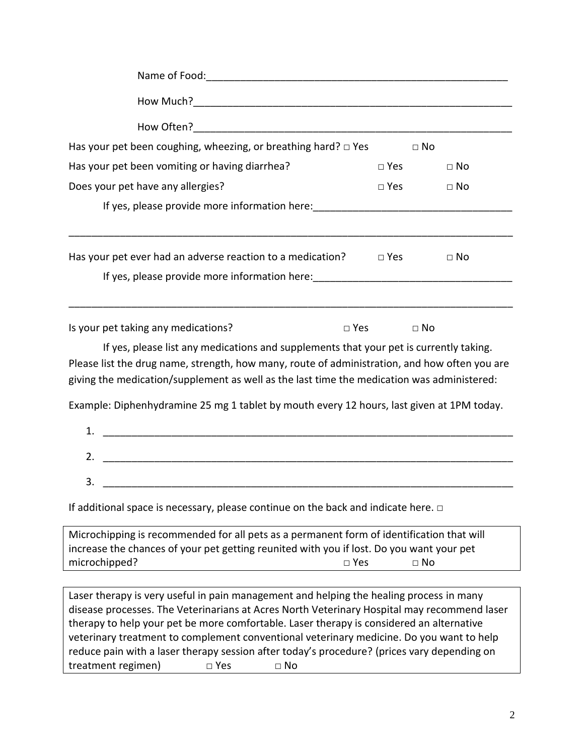| Has your pet been coughing, wheezing, or breathing hard? $\Box$ Yes                                                                                                                                                                                                                   | $\Box$ No     |           |  |  |  |  |
|---------------------------------------------------------------------------------------------------------------------------------------------------------------------------------------------------------------------------------------------------------------------------------------|---------------|-----------|--|--|--|--|
| Has your pet been vomiting or having diarrhea?                                                                                                                                                                                                                                        | $\square$ Yes | $\Box$ No |  |  |  |  |
| Does your pet have any allergies?                                                                                                                                                                                                                                                     | $\Box$ Yes    | $\Box$ No |  |  |  |  |
| If yes, please provide more information here: __________________________________                                                                                                                                                                                                      |               |           |  |  |  |  |
| Has your pet ever had an adverse reaction to a medication? $\Box$ Yes<br>If yes, please provide more information here: __________________________________                                                                                                                             |               | $\Box$ No |  |  |  |  |
| Is your pet taking any medications?<br>$\square$ Yes                                                                                                                                                                                                                                  |               | $\Box$ No |  |  |  |  |
| If yes, please list any medications and supplements that your pet is currently taking.<br>Please list the drug name, strength, how many, route of administration, and how often you are<br>giving the medication/supplement as well as the last time the medication was administered: |               |           |  |  |  |  |
| Example: Diphenhydramine 25 mg 1 tablet by mouth every 12 hours, last given at 1PM today.<br>1.                                                                                                                                                                                       |               |           |  |  |  |  |
| <u> 1989 - Jan James James James James James James James James James James James James James James James James J</u><br>2.                                                                                                                                                            |               |           |  |  |  |  |
| 3.                                                                                                                                                                                                                                                                                    |               |           |  |  |  |  |
| If additional space is necessary, please continue on the back and indicate here. $\Box$                                                                                                                                                                                               |               |           |  |  |  |  |
| Microchipping is recommended for all pets as a permanent form of identification that will<br>increase the chances of your pet getting reunited with you if lost. Do you want your pet<br>microchipped?<br>$\square$ Yes<br>$\Box$ No                                                  |               |           |  |  |  |  |

Laser therapy is very useful in pain management and helping the healing process in many disease processes. The Veterinarians at Acres North Veterinary Hospital may recommend laser therapy to help your pet be more comfortable. Laser therapy is considered an alternative veterinary treatment to complement conventional veterinary medicine. Do you want to help reduce pain with a laser therapy session after today's procedure? (prices vary depending on treatment regimen) □ Yes □ No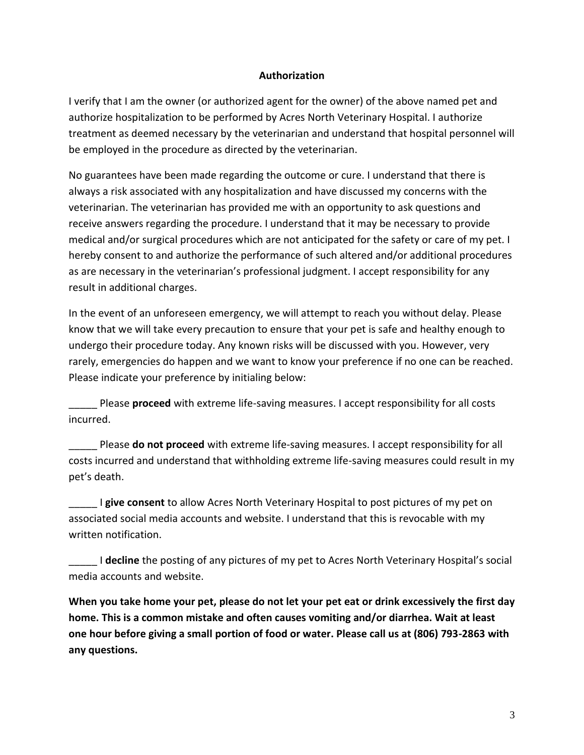## **Authorization**

I verify that I am the owner (or authorized agent for the owner) of the above named pet and authorize hospitalization to be performed by Acres North Veterinary Hospital. I authorize treatment as deemed necessary by the veterinarian and understand that hospital personnel will be employed in the procedure as directed by the veterinarian.

No guarantees have been made regarding the outcome or cure. I understand that there is always a risk associated with any hospitalization and have discussed my concerns with the veterinarian. The veterinarian has provided me with an opportunity to ask questions and receive answers regarding the procedure. I understand that it may be necessary to provide medical and/or surgical procedures which are not anticipated for the safety or care of my pet. I hereby consent to and authorize the performance of such altered and/or additional procedures as are necessary in the veterinarian's professional judgment. I accept responsibility for any result in additional charges.

In the event of an unforeseen emergency, we will attempt to reach you without delay. Please know that we will take every precaution to ensure that your pet is safe and healthy enough to undergo their procedure today. Any known risks will be discussed with you. However, very rarely, emergencies do happen and we want to know your preference if no one can be reached. Please indicate your preference by initialing below:

\_\_\_\_\_ Please **proceed** with extreme life-saving measures. I accept responsibility for all costs incurred.

\_\_\_\_\_ Please **do not proceed** with extreme life-saving measures. I accept responsibility for all costs incurred and understand that withholding extreme life-saving measures could result in my pet's death.

I give consent to allow Acres North Veterinary Hospital to post pictures of my pet on associated social media accounts and website. I understand that this is revocable with my written notification.

\_\_\_\_\_ I **decline** the posting of any pictures of my pet to Acres North Veterinary Hospital's social media accounts and website.

**When you take home your pet, please do not let your pet eat or drink excessively the first day home. This is a common mistake and often causes vomiting and/or diarrhea. Wait at least one hour before giving a small portion of food or water. Please call us at (806) 793-2863 with any questions.**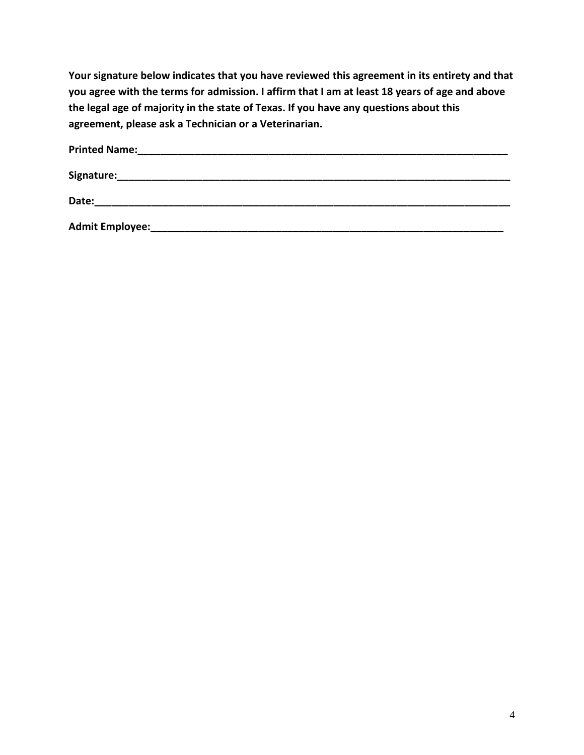**Your signature below indicates that you have reviewed this agreement in its entirety and that you agree with the terms for admission. I affirm that I am at least 18 years of age and above the legal age of majority in the state of Texas. If you have any questions about this agreement, please ask a Technician or a Veterinarian.**

| <b>Printed Name:</b>   |  |  |
|------------------------|--|--|
| Signature:             |  |  |
| Date:                  |  |  |
| <b>Admit Employee:</b> |  |  |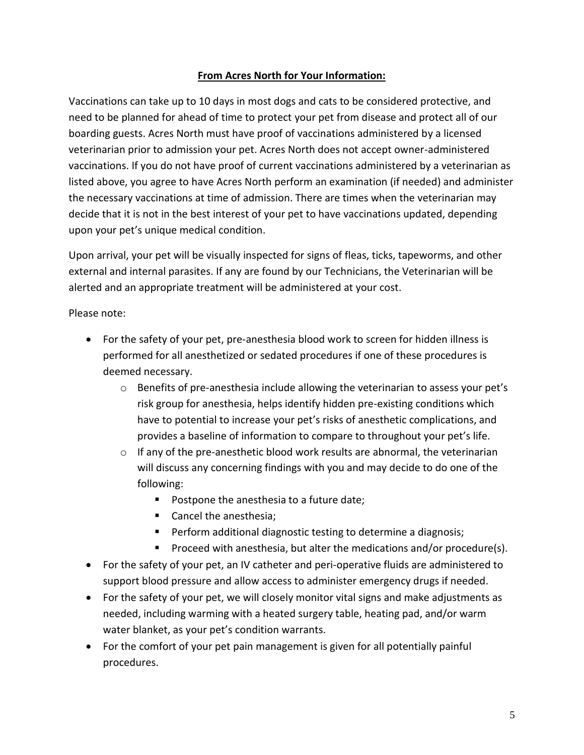## **From Acres North for Your Information:**

Vaccinations can take up to 10 days in most dogs and cats to be considered protective, and need to be planned for ahead of time to protect your pet from disease and protect all of our boarding guests. Acres North must have proof of vaccinations administered by a licensed veterinarian prior to admission your pet. Acres North does not accept owner-administered vaccinations. If you do not have proof of current vaccinations administered by a veterinarian as listed above, you agree to have Acres North perform an examination (if needed) and administer the necessary vaccinations at time of admission. There are times when the veterinarian may decide that it is not in the best interest of your pet to have vaccinations updated, depending upon your pet's unique medical condition.

Upon arrival, your pet will be visually inspected for signs of fleas, ticks, tapeworms, and other external and internal parasites. If any are found by our Technicians, the Veterinarian will be alerted and an appropriate treatment will be administered at your cost.

Please note:

- For the safety of your pet, pre-anesthesia blood work to screen for hidden illness is performed for all anesthetized or sedated procedures if one of these procedures is deemed necessary.
	- o Benefits of pre-anesthesia include allowing the veterinarian to assess your pet's risk group for anesthesia, helps identify hidden pre-existing conditions which have to potential to increase your pet's risks of anesthetic complications, and provides a baseline of information to compare to throughout your pet's life.
	- $\circ$  If any of the pre-anesthetic blood work results are abnormal, the veterinarian will discuss any concerning findings with you and may decide to do one of the following:
		- Postpone the anesthesia to a future date;
		- Cancel the anesthesia;
		- Perform additional diagnostic testing to determine a diagnosis;
		- Proceed with anesthesia, but alter the medications and/or procedure(s).
- For the safety of your pet, an IV catheter and peri-operative fluids are administered to support blood pressure and allow access to administer emergency drugs if needed.
- For the safety of your pet, we will closely monitor vital signs and make adjustments as needed, including warming with a heated surgery table, heating pad, and/or warm water blanket, as your pet's condition warrants.
- For the comfort of your pet pain management is given for all potentially painful procedures.